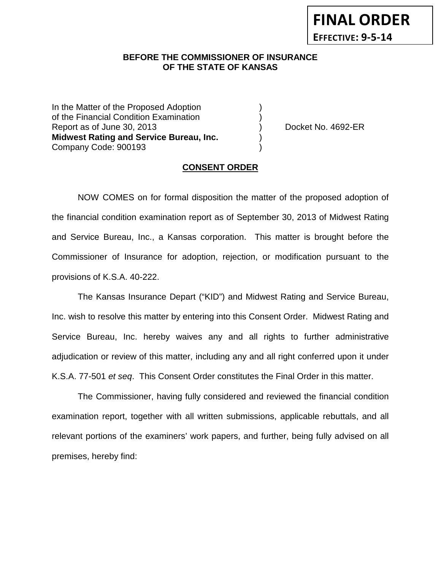## **BEFORE THE COMMISSIONER OF INSURANCE OF THE STATE OF KANSAS**

In the Matter of the Proposed Adoption of the Financial Condition Examination ) Report as of June 30, 2013 (and the control of the Docket No. 4692-ER **Midwest Rating and Service Bureau, Inc.** ) Company Code: 900193 )

### **CONSENT ORDER**

NOW COMES on for formal disposition the matter of the proposed adoption of the financial condition examination report as of September 30, 2013 of Midwest Rating and Service Bureau, Inc., a Kansas corporation. This matter is brought before the Commissioner of Insurance for adoption, rejection, or modification pursuant to the provisions of K.S.A. 40-222.

The Kansas Insurance Depart ("KID") and Midwest Rating and Service Bureau, Inc. wish to resolve this matter by entering into this Consent Order. Midwest Rating and Service Bureau, Inc. hereby waives any and all rights to further administrative adjudication or review of this matter, including any and all right conferred upon it under K.S.A. 77-501 *et seq*. This Consent Order constitutes the Final Order in this matter.

The Commissioner, having fully considered and reviewed the financial condition examination report, together with all written submissions, applicable rebuttals, and all relevant portions of the examiners' work papers, and further, being fully advised on all premises, hereby find: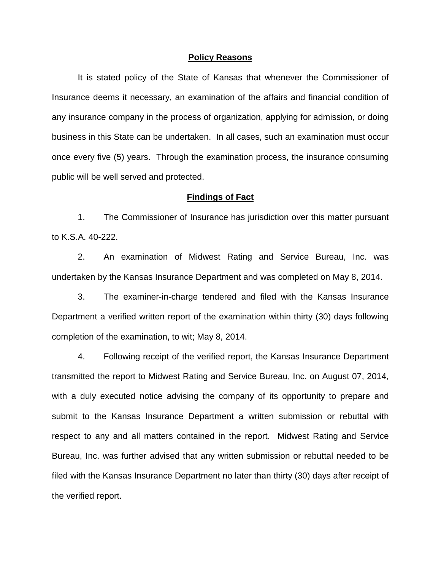#### **Policy Reasons**

It is stated policy of the State of Kansas that whenever the Commissioner of Insurance deems it necessary, an examination of the affairs and financial condition of any insurance company in the process of organization, applying for admission, or doing business in this State can be undertaken. In all cases, such an examination must occur once every five (5) years. Through the examination process, the insurance consuming public will be well served and protected.

#### **Findings of Fact**

1. The Commissioner of Insurance has jurisdiction over this matter pursuant to K.S.A. 40-222.

2. An examination of Midwest Rating and Service Bureau, Inc. was undertaken by the Kansas Insurance Department and was completed on May 8, 2014.

3. The examiner-in-charge tendered and filed with the Kansas Insurance Department a verified written report of the examination within thirty (30) days following completion of the examination, to wit; May 8, 2014.

4. Following receipt of the verified report, the Kansas Insurance Department transmitted the report to Midwest Rating and Service Bureau, Inc. on August 07, 2014, with a duly executed notice advising the company of its opportunity to prepare and submit to the Kansas Insurance Department a written submission or rebuttal with respect to any and all matters contained in the report. Midwest Rating and Service Bureau, Inc. was further advised that any written submission or rebuttal needed to be filed with the Kansas Insurance Department no later than thirty (30) days after receipt of the verified report.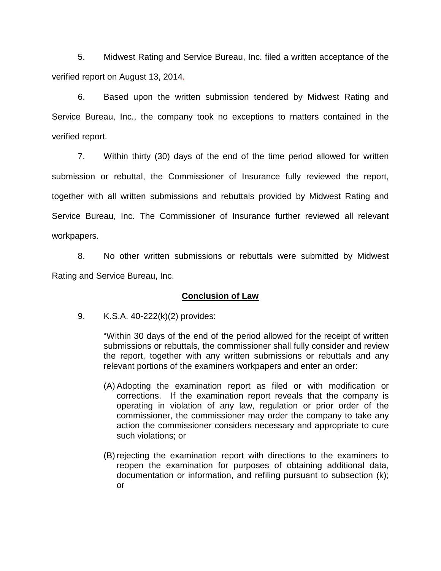5. Midwest Rating and Service Bureau, Inc. filed a written acceptance of the verified report on August 13, 2014.

6. Based upon the written submission tendered by Midwest Rating and Service Bureau, Inc., the company took no exceptions to matters contained in the verified report.

7. Within thirty (30) days of the end of the time period allowed for written submission or rebuttal, the Commissioner of Insurance fully reviewed the report, together with all written submissions and rebuttals provided by Midwest Rating and Service Bureau, Inc. The Commissioner of Insurance further reviewed all relevant workpapers.

8. No other written submissions or rebuttals were submitted by Midwest Rating and Service Bureau, Inc.

## **Conclusion of Law**

9. K.S.A. 40-222(k)(2) provides:

"Within 30 days of the end of the period allowed for the receipt of written submissions or rebuttals, the commissioner shall fully consider and review the report, together with any written submissions or rebuttals and any relevant portions of the examiners workpapers and enter an order:

- (A) Adopting the examination report as filed or with modification or corrections. If the examination report reveals that the company is operating in violation of any law, regulation or prior order of the commissioner, the commissioner may order the company to take any action the commissioner considers necessary and appropriate to cure such violations; or
- (B) rejecting the examination report with directions to the examiners to reopen the examination for purposes of obtaining additional data, documentation or information, and refiling pursuant to subsection (k); or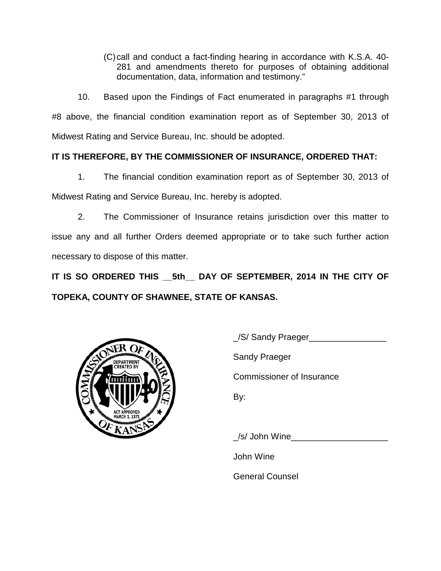(C)call and conduct a fact-finding hearing in accordance with K.S.A. 40- 281 and amendments thereto for purposes of obtaining additional documentation, data, information and testimony."

10. Based upon the Findings of Fact enumerated in paragraphs #1 through #8 above, the financial condition examination report as of September 30, 2013 of Midwest Rating and Service Bureau, Inc. should be adopted.

# **IT IS THEREFORE, BY THE COMMISSIONER OF INSURANCE, ORDERED THAT:**

1. The financial condition examination report as of September 30, 2013 of Midwest Rating and Service Bureau, Inc. hereby is adopted.

2. The Commissioner of Insurance retains jurisdiction over this matter to issue any and all further Orders deemed appropriate or to take such further action necessary to dispose of this matter.

**IT IS SO ORDERED THIS \_\_5th\_\_ DAY OF SEPTEMBER, 2014 IN THE CITY OF TOPEKA, COUNTY OF SHAWNEE, STATE OF KANSAS.**



/S/ Sandy Praeger

Sandy Praeger

Commissioner of Insurance

By:

/s/ John Wine

John Wine

General Counsel